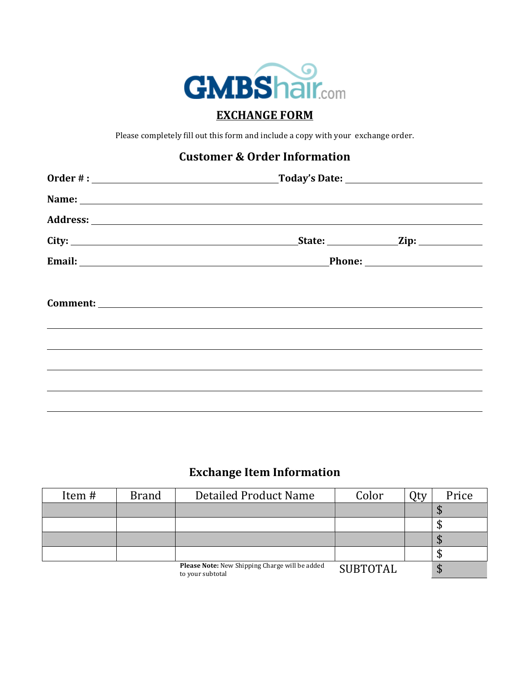

## **EXCHANGE FORM**

Please completely fill out this form and include a copy with your exchange order.

## **Customer & Order Information**

|                                                                                                                                                                                                                                      | Name: Name: Name: Name: Name: Name: Name: Name: Name: Name: Name: Name: Name: Name: Name: Name: Name: Name: Name: Name: Name: Name: Name: Name: Name: Name: Name: Name: Name: Name: Name: Name: Name: Name: Name: Name: Name: |  |
|--------------------------------------------------------------------------------------------------------------------------------------------------------------------------------------------------------------------------------------|-------------------------------------------------------------------------------------------------------------------------------------------------------------------------------------------------------------------------------|--|
|                                                                                                                                                                                                                                      |                                                                                                                                                                                                                               |  |
| City:                                                                                                                                                                                                                                | State: $\qquad \qquad \text{Zip:}$                                                                                                                                                                                            |  |
| Email: <u>2000 - 2000 - 2000 - 2000 - 2000 - 2000 - 2000 - 2000 - 2000 - 2000 - 2000 - 2000 - 2000 - 2000 - 2000 - 2000 - 2000 - 2000 - 2000 - 2000 - 2000 - 2000 - 2000 - 2000 - 2000 - 2000 - 2000 - 2000 - 2000 - 2000 - 2000</u> |                                                                                                                                                                                                                               |  |
|                                                                                                                                                                                                                                      |                                                                                                                                                                                                                               |  |
|                                                                                                                                                                                                                                      |                                                                                                                                                                                                                               |  |
|                                                                                                                                                                                                                                      |                                                                                                                                                                                                                               |  |
|                                                                                                                                                                                                                                      |                                                                                                                                                                                                                               |  |
|                                                                                                                                                                                                                                      |                                                                                                                                                                                                                               |  |
|                                                                                                                                                                                                                                      |                                                                                                                                                                                                                               |  |

## **Exchange Item Information**

| Item# | <b>Brand</b> | <b>Detailed Product Name</b>                                       | Color           | Otv | Price |
|-------|--------------|--------------------------------------------------------------------|-----------------|-----|-------|
|       |              |                                                                    |                 |     | Ψ     |
|       |              |                                                                    |                 |     | Ψ     |
|       |              |                                                                    |                 |     | Ψ     |
|       |              |                                                                    |                 |     | ◡     |
|       |              | Please Note: New Shipping Charge will be added<br>to your subtotal | <b>SUBTOTAL</b> |     | ⊅     |